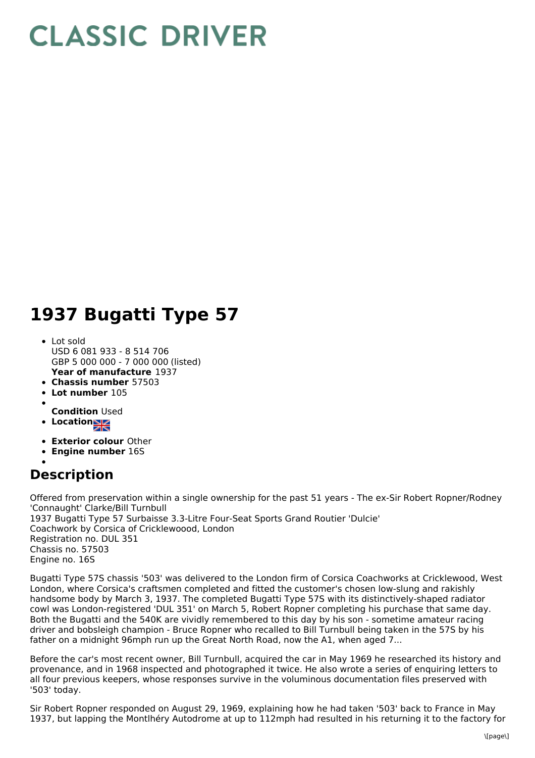## **CLASSIC DRIVER**

## **1937 Bugatti Type 57**

- **Year of manufacture** 1937 Lot sold USD 6 081 933 - 8 514 706 GBP 5 000 000 - 7 000 000 (listed)
- **Chassis number** 57503
- **Lot number** 105
- **Condition** Used
- Location<sub>al</sub>
- 
- **Exterior colour** Other **Engine number** 16S
- 

## **Description**

Offered from preservation within a single ownership for the past 51 years - The ex-Sir Robert Ropner/Rodney 'Connaught' Clarke/Bill Turnbull 1937 Bugatti Type 57 Surbaisse 3.3-Litre Four-Seat Sports Grand Routier 'Dulcie' Coachwork by Corsica of Cricklewoood, London Registration no. DUL 351 Chassis no. 57503 Engine no. 16S

Bugatti Type 57S chassis '503' was delivered to the London firm of Corsica Coachworks at Cricklewood, West London, where Corsica's craftsmen completed and fitted the customer's chosen low-slung and rakishly handsome body by March 3, 1937. The completed Bugatti Type 57S with its distinctively-shaped radiator cowl was London-registered 'DUL 351' on March 5, Robert Ropner completing his purchase that same day. Both the Bugatti and the 540K are vividly remembered to this day by his son - sometime amateur racing driver and bobsleigh champion - Bruce Ropner who recalled to Bill Turnbull being taken in the 57S by his father on a midnight 96mph run up the Great North Road, now the A1, when aged 7...

Before the car's most recent owner, Bill Turnbull, acquired the car in May 1969 he researched its history and provenance, and in 1968 inspected and photographed it twice. He also wrote a series of enquiring letters to all four previous keepers, whose responses survive in the voluminous documentation files preserved with '503' today.

Sir Robert Ropner responded on August 29, 1969, explaining how he had taken '503' back to France in May 1937, but lapping the Montlhéry Autodrome at up to 112mph had resulted in his returning it to the factory for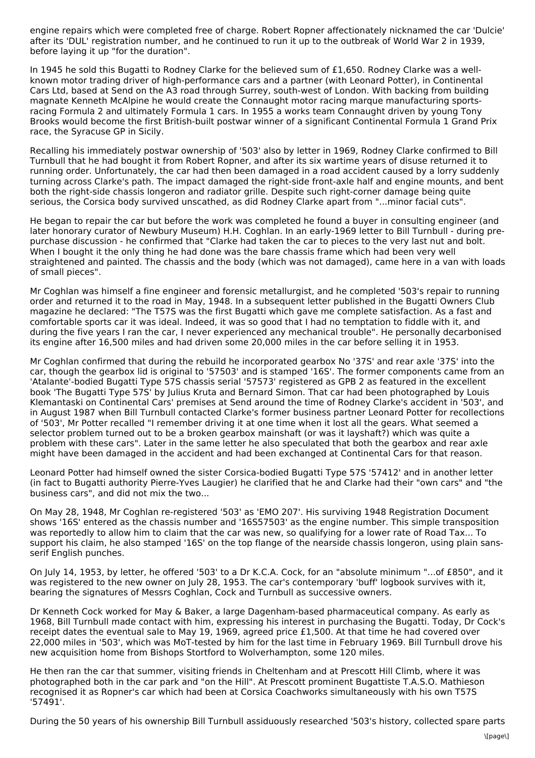engine repairs which were completed free of charge. Robert Ropner affectionately nicknamed the car 'Dulcie' after its 'DUL' registration number, and he continued to run it up to the outbreak of World War 2 in 1939, before laying it up "for the duration".

In 1945 he sold this Bugatti to Rodney Clarke for the believed sum of £1,650. Rodney Clarke was a wellknown motor trading driver of high-performance cars and a partner (with Leonard Potter), in Continental Cars Ltd, based at Send on the A3 road through Surrey, south-west of London. With backing from building magnate Kenneth McAlpine he would create the Connaught motor racing marque manufacturing sportsracing Formula 2 and ultimately Formula 1 cars. In 1955 a works team Connaught driven by young Tony Brooks would become the first British-built postwar winner of a significant Continental Formula 1 Grand Prix race, the Syracuse GP in Sicily.

Recalling his immediately postwar ownership of '503' also by letter in 1969, Rodney Clarke confirmed to Bill Turnbull that he had bought it from Robert Ropner, and after its six wartime years of disuse returned it to running order. Unfortunately, the car had then been damaged in a road accident caused by a lorry suddenly turning across Clarke's path. The impact damaged the right-side front-axle half and engine mounts, and bent both the right-side chassis longeron and radiator grille. Despite such right-corner damage being quite serious, the Corsica body survived unscathed, as did Rodney Clarke apart from "...minor facial cuts".

He began to repair the car but before the work was completed he found a buyer in consulting engineer (and later honorary curator of Newbury Museum) H.H. Coghlan. In an early-1969 letter to Bill Turnbull - during prepurchase discussion - he confirmed that "Clarke had taken the car to pieces to the very last nut and bolt. When I bought it the only thing he had done was the bare chassis frame which had been very well straightened and painted. The chassis and the body (which was not damaged), came here in a van with loads of small pieces".

Mr Coghlan was himself a fine engineer and forensic metallurgist, and he completed '503's repair to running order and returned it to the road in May, 1948. In a subsequent letter published in the Bugatti Owners Club magazine he declared: "The T57S was the first Bugatti which gave me complete satisfaction. As a fast and comfortable sports car it was ideal. Indeed, it was so good that I had no temptation to fiddle with it, and during the five years I ran the car, I never experienced any mechanical trouble". He personally decarbonised its engine after 16,500 miles and had driven some 20,000 miles in the car before selling it in 1953.

Mr Coghlan confirmed that during the rebuild he incorporated gearbox No '37S' and rear axle '37S' into the car, though the gearbox lid is original to '57503' and is stamped '16S'. The former components came from an 'Atalante'-bodied Bugatti Type 57S chassis serial '57573' registered as GPB 2 as featured in the excellent book 'The Bugatti Type 57S' by Julius Kruta and Bernard Simon. That car had been photographed by Louis Klemantaski on Continental Cars' premises at Send around the time of Rodney Clarke's accident in '503', and in August 1987 when Bill Turnbull contacted Clarke's former business partner Leonard Potter for recollections of '503', Mr Potter recalled "I remember driving it at one time when it lost all the gears. What seemed a selector problem turned out to be a broken gearbox mainshaft (or was it layshaft?) which was quite a problem with these cars". Later in the same letter he also speculated that both the gearbox and rear axle might have been damaged in the accident and had been exchanged at Continental Cars for that reason.

Leonard Potter had himself owned the sister Corsica-bodied Bugatti Type 57S '57412' and in another letter (in fact to Bugatti authority Pierre-Yves Laugier) he clarified that he and Clarke had their "own cars" and "the business cars", and did not mix the two...

On May 28, 1948, Mr Coghlan re-registered '503' as 'EMO 207'. His surviving 1948 Registration Document shows '16S' entered as the chassis number and '16S57503' as the engine number. This simple transposition was reportedly to allow him to claim that the car was new, so qualifying for a lower rate of Road Tax... To support his claim, he also stamped '16S' on the top flange of the nearside chassis longeron, using plain sansserif English punches.

On July 14, 1953, by letter, he offered '503' to a Dr K.C.A. Cock, for an "absolute minimum "...of £850", and it was registered to the new owner on July 28, 1953. The car's contemporary 'buff' logbook survives with it, bearing the signatures of Messrs Coghlan, Cock and Turnbull as successive owners.

Dr Kenneth Cock worked for May & Baker, a large Dagenham-based pharmaceutical company. As early as 1968, Bill Turnbull made contact with him, expressing his interest in purchasing the Bugatti. Today, Dr Cock's receipt dates the eventual sale to May 19, 1969, agreed price £1,500. At that time he had covered over 22,000 miles in '503', which was MoT-tested by him for the last time in February 1969. Bill Turnbull drove his new acquisition home from Bishops Stortford to Wolverhampton, some 120 miles.

He then ran the car that summer, visiting friends in Cheltenham and at Prescott Hill Climb, where it was photographed both in the car park and "on the Hill". At Prescott prominent Bugattiste T.A.S.O. Mathieson recognised it as Ropner's car which had been at Corsica Coachworks simultaneously with his own T57S '57491'.

During the 50 years of his ownership Bill Turnbull assiduously researched '503's history, collected spare parts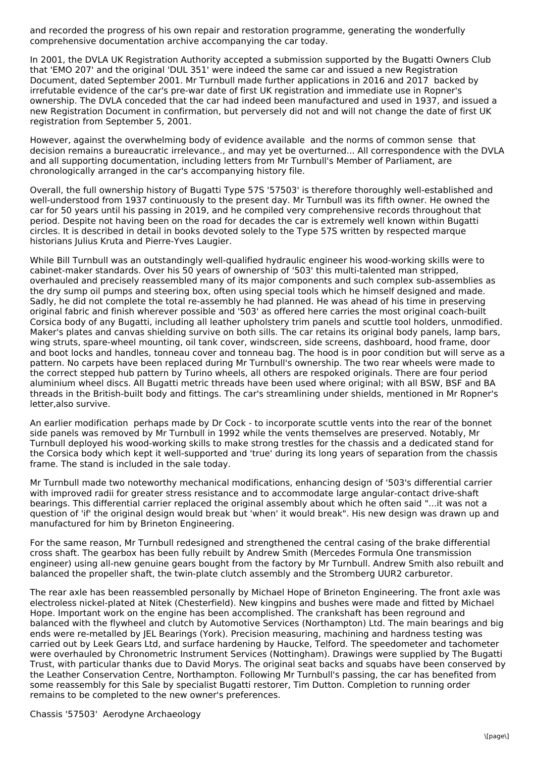and recorded the progress of his own repair and restoration programme, generating the wonderfully comprehensive documentation archive accompanying the car today.

In 2001, the DVLA UK Registration Authority accepted a submission supported by the Bugatti Owners Club that 'EMO 207' and the original 'DUL 351' were indeed the same car and issued a new Registration Document, dated September 2001. Mr Turnbull made further applications in 2016 and 2017 backed by irrefutable evidence of the car's pre-war date of first UK registration and immediate use in Ropner's ownership. The DVLA conceded that the car had indeed been manufactured and used in 1937, and issued a new Registration Document in confirmation, but perversely did not and will not change the date of first UK registration from September 5, 2001.

However, against the overwhelming body of evidence available and the norms of common sense that decision remains a bureaucratic irrelevance., and may yet be overturned... All correspondence with the DVLA and all supporting documentation, including letters from Mr Turnbull's Member of Parliament, are chronologically arranged in the car's accompanying history file.

Overall, the full ownership history of Bugatti Type 57S '57503' is therefore thoroughly well-established and well-understood from 1937 continuously to the present day. Mr Turnbull was its fifth owner. He owned the car for 50 years until his passing in 2019, and he compiled very comprehensive records throughout that period. Despite not having been on the road for decades the car is extremely well known within Bugatti circles. It is described in detail in books devoted solely to the Type 57S written by respected marque historians Julius Kruta and Pierre-Yves Laugier.

While Bill Turnbull was an outstandingly well-qualified hydraulic engineer his wood-working skills were to cabinet-maker standards. Over his 50 years of ownership of '503' this multi-talented man stripped, overhauled and precisely reassembled many of its major components and such complex sub-assemblies as the dry sump oil pumps and steering box, often using special tools which he himself designed and made. Sadly, he did not complete the total re-assembly he had planned. He was ahead of his time in preserving original fabric and finish wherever possible and '503' as offered here carries the most original coach-built Corsica body of any Bugatti, including all leather upholstery trim panels and scuttle tool holders, unmodified. Maker's plates and canvas shielding survive on both sills. The car retains its original body panels, lamp bars, wing struts, spare-wheel mounting, oil tank cover, windscreen, side screens, dashboard, hood frame, door and boot locks and handles, tonneau cover and tonneau bag. The hood is in poor condition but will serve as a pattern. No carpets have been replaced during Mr Turnbull's ownership. The two rear wheels were made to the correct stepped hub pattern by Turino wheels, all others are respoked originals. There are four period aluminium wheel discs. All Bugatti metric threads have been used where original; with all BSW, BSF and BA threads in the British-built body and fittings. The car's streamlining under shields, mentioned in Mr Ropner's letter,also survive.

An earlier modification perhaps made by Dr Cock - to incorporate scuttle vents into the rear of the bonnet side panels was removed by Mr Turnbull in 1992 while the vents themselves are preserved. Notably, Mr Turnbull deployed his wood-working skills to make strong trestles for the chassis and a dedicated stand for the Corsica body which kept it well-supported and 'true' during its long years of separation from the chassis frame. The stand is included in the sale today.

Mr Turnbull made two noteworthy mechanical modifications, enhancing design of '503's differential carrier with improved radii for greater stress resistance and to accommodate large angular-contact drive-shaft bearings. This differential carrier replaced the original assembly about which he often said "...it was not a question of 'if' the original design would break but 'when' it would break". His new design was drawn up and manufactured for him by Brineton Engineering.

For the same reason, Mr Turnbull redesigned and strengthened the central casing of the brake differential cross shaft. The gearbox has been fully rebuilt by Andrew Smith (Mercedes Formula One transmission engineer) using all-new genuine gears bought from the factory by Mr Turnbull. Andrew Smith also rebuilt and balanced the propeller shaft, the twin-plate clutch assembly and the Stromberg UUR2 carburetor.

The rear axle has been reassembled personally by Michael Hope of Brineton Engineering. The front axle was electroless nickel-plated at Nitek (Chesterfield). New kingpins and bushes were made and fitted by Michael Hope. Important work on the engine has been accomplished. The crankshaft has been reground and balanced with the flywheel and clutch by Automotive Services (Northampton) Ltd. The main bearings and big ends were re-metalled by JEL Bearings (York). Precision measuring, machining and hardness testing was carried out by Leek Gears Ltd, and surface hardening by Haucke, Telford. The speedometer and tachometer were overhauled by Chronometric Instrument Services (Nottingham). Drawings were supplied by The Bugatti Trust, with particular thanks due to David Morys. The original seat backs and squabs have been conserved by the Leather Conservation Centre, Northampton. Following Mr Turnbull's passing, the car has benefited from some reassembly for this Sale by specialist Bugatti restorer, Tim Dutton. Completion to running order remains to be completed to the new owner's preferences.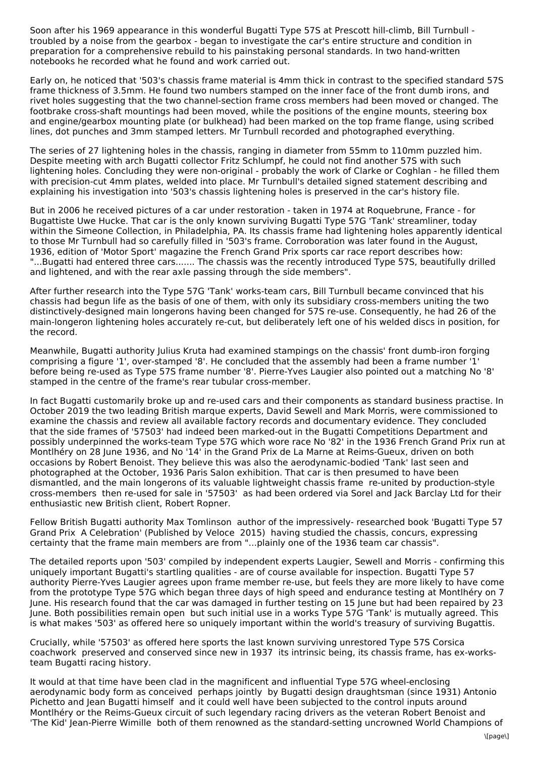Soon after his 1969 appearance in this wonderful Bugatti Type 57S at Prescott hill-climb, Bill Turnbull troubled by a noise from the gearbox - began to investigate the car's entire structure and condition in preparation for a comprehensive rebuild to his painstaking personal standards. In two hand-written notebooks he recorded what he found and work carried out.

Early on, he noticed that '503's chassis frame material is 4mm thick in contrast to the specified standard 57S frame thickness of 3.5mm. He found two numbers stamped on the inner face of the front dumb irons, and rivet holes suggesting that the two channel-section frame cross members had been moved or changed. The footbrake cross-shaft mountings had been moved, while the positions of the engine mounts, steering box and engine/gearbox mounting plate (or bulkhead) had been marked on the top frame flange, using scribed lines, dot punches and 3mm stamped letters. Mr Turnbull recorded and photographed everything.

The series of 27 lightening holes in the chassis, ranging in diameter from 55mm to 110mm puzzled him. Despite meeting with arch Bugatti collector Fritz Schlumpf, he could not find another 57S with such lightening holes. Concluding they were non-original - probably the work of Clarke or Coghlan - he filled them with precision-cut 4mm plates, welded into place. Mr Turnbull's detailed signed statement describing and explaining his investigation into '503's chassis lightening holes is preserved in the car's history file.

But in 2006 he received pictures of a car under restoration - taken in 1974 at Roquebrune, France - for Bugattiste Uwe Hucke. That car is the only known surviving Bugatti Type 57G 'Tank' streamliner, today within the Simeone Collection, in Philadelphia, PA. Its chassis frame had lightening holes apparently identical to those Mr Turnbull had so carefully filled in '503's frame. Corroboration was later found in the August, 1936, edition of 'Motor Sport' magazine the French Grand Prix sports car race report describes how: "...Bugatti had entered three cars....... The chassis was the recently introduced Type 57S, beautifully drilled and lightened, and with the rear axle passing through the side members".

After further research into the Type 57G 'Tank' works-team cars, Bill Turnbull became convinced that his chassis had begun life as the basis of one of them, with only its subsidiary cross-members uniting the two distinctively-designed main longerons having been changed for 57S re-use. Consequently, he had 26 of the main-longeron lightening holes accurately re-cut, but deliberately left one of his welded discs in position, for the record.

Meanwhile, Bugatti authority Julius Kruta had examined stampings on the chassis' front dumb-iron forging comprising a figure '1', over-stamped '8'. He concluded that the assembly had been a frame number '1' before being re-used as Type 57S frame number '8'. Pierre-Yves Laugier also pointed out a matching No '8' stamped in the centre of the frame's rear tubular cross-member.

In fact Bugatti customarily broke up and re-used cars and their components as standard business practise. In October 2019 the two leading British marque experts, David Sewell and Mark Morris, were commissioned to examine the chassis and review all available factory records and documentary evidence. They concluded that the side frames of '57503' had indeed been marked-out in the Bugatti Competitions Department and possibly underpinned the works-team Type 57G which wore race No '82' in the 1936 French Grand Prix run at Montlhéry on 28 June 1936, and No '14' in the Grand Prix de La Marne at Reims-Gueux, driven on both occasions by Robert Benoist. They believe this was also the aerodynamic-bodied 'Tank' last seen and photographed at the October, 1936 Paris Salon exhibition. That car is then presumed to have been dismantled, and the main longerons of its valuable lightweight chassis frame re-united by production-style cross-members then re-used for sale in '57503' as had been ordered via Sorel and Jack Barclay Ltd for their enthusiastic new British client, Robert Ropner.

Fellow British Bugatti authority Max Tomlinson author of the impressively- researched book 'Bugatti Type 57 Grand Prix A Celebration' (Published by Veloce 2015) having studied the chassis, concurs, expressing certainty that the frame main members are from "...plainly one of the 1936 team car chassis".

The detailed reports upon '503' compiled by independent experts Laugier, Sewell and Morris - confirming this uniquely important Bugatti's startling qualities - are of course available for inspection. Bugatti Type 57 authority Pierre-Yves Laugier agrees upon frame member re-use, but feels they are more likely to have come from the prototype Type 57G which began three days of high speed and endurance testing at Montlhéry on 7 June. His research found that the car was damaged in further testing on 15 June but had been repaired by 23 June. Both possibilities remain open but such initial use in a works Type 57G 'Tank' is mutually agreed. This is what makes '503' as offered here so uniquely important within the world's treasury of surviving Bugattis.

Crucially, while '57503' as offered here sports the last known surviving unrestored Type 57S Corsica coachwork preserved and conserved since new in 1937 its intrinsic being, its chassis frame, has ex-worksteam Bugatti racing history.

It would at that time have been clad in the magnificent and influential Type 57G wheel-enclosing aerodynamic body form as conceived perhaps jointly by Bugatti design draughtsman (since 1931) Antonio Pichetto and Jean Bugatti himself and it could well have been subjected to the control inputs around Montlhéry or the Reims-Gueux circuit of such legendary racing drivers as the veteran Robert Benoist and 'The Kid' Jean-Pierre Wimille both of them renowned as the standard-setting uncrowned World Champions of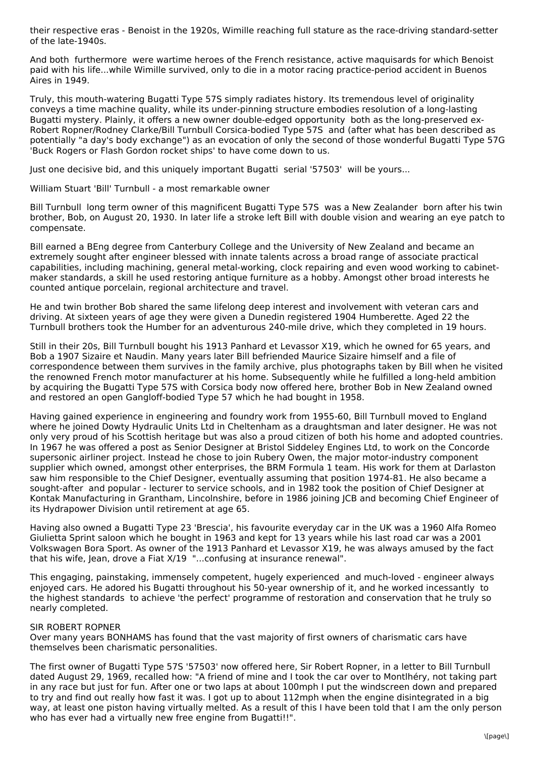their respective eras - Benoist in the 1920s, Wimille reaching full stature as the race-driving standard-setter of the late-1940s.

And both furthermore were wartime heroes of the French resistance, active maquisards for which Benoist paid with his life...while Wimille survived, only to die in a motor racing practice-period accident in Buenos Aires in 1949.

Truly, this mouth-watering Bugatti Type 57S simply radiates history. Its tremendous level of originality conveys a time machine quality, while its under-pinning structure embodies resolution of a long-lasting Bugatti mystery. Plainly, it offers a new owner double-edged opportunity both as the long-preserved ex-Robert Ropner/Rodney Clarke/Bill Turnbull Corsica-bodied Type 57S and (after what has been described as potentially "a day's body exchange") as an evocation of only the second of those wonderful Bugatti Type 57G 'Buck Rogers or Flash Gordon rocket ships' to have come down to us.

Just one decisive bid, and this uniquely important Bugatti serial '57503' will be yours...

William Stuart 'Bill' Turnbull - a most remarkable owner

Bill Turnbull long term owner of this magnificent Bugatti Type 57S was a New Zealander born after his twin brother, Bob, on August 20, 1930. In later life a stroke left Bill with double vision and wearing an eye patch to compensate.

Bill earned a BEng degree from Canterbury College and the University of New Zealand and became an extremely sought after engineer blessed with innate talents across a broad range of associate practical capabilities, including machining, general metal-working, clock repairing and even wood working to cabinet maker standards, a skill he used restoring antique furniture as a hobby. Amongst other broad interests he counted antique porcelain, regional architecture and travel.

He and twin brother Bob shared the same lifelong deep interest and involvement with veteran cars and driving. At sixteen years of age they were given a Dunedin registered 1904 Humberette. Aged 22 the Turnbull brothers took the Humber for an adventurous 240-mile drive, which they completed in 19 hours.

Still in their 20s, Bill Turnbull bought his 1913 Panhard et Levassor X19, which he owned for 65 years, and Bob a 1907 Sizaire et Naudin. Many years later Bill befriended Maurice Sizaire himself and a file of correspondence between them survives in the family archive, plus photographs taken by Bill when he visited the renowned French motor manufacturer at his home. Subsequently while he fulfilled a long-held ambition by acquiring the Bugatti Type 57S with Corsica body now offered here, brother Bob in New Zealand owned and restored an open Gangloff-bodied Type 57 which he had bought in 1958.

Having gained experience in engineering and foundry work from 1955-60, Bill Turnbull moved to England where he joined Dowty Hydraulic Units Ltd in Cheltenham as a draughtsman and later designer. He was not only very proud of his Scottish heritage but was also a proud citizen of both his home and adopted countries. In 1967 he was offered a post as Senior Designer at Bristol Siddeley Engines Ltd, to work on the Concorde supersonic airliner project. Instead he chose to join Rubery Owen, the major motor-industry component supplier which owned, amongst other enterprises, the BRM Formula 1 team. His work for them at Darlaston saw him responsible to the Chief Designer, eventually assuming that position 1974-81. He also became a sought-after and popular - lecturer to service schools, and in 1982 took the position of Chief Designer at Kontak Manufacturing in Grantham, Lincolnshire, before in 1986 joining JCB and becoming Chief Engineer of its Hydrapower Division until retirement at age 65.

Having also owned a Bugatti Type 23 'Brescia', his favourite everyday car in the UK was a 1960 Alfa Romeo Giulietta Sprint saloon which he bought in 1963 and kept for 13 years while his last road car was a 2001 Volkswagen Bora Sport. As owner of the 1913 Panhard et Levassor X19, he was always amused by the fact that his wife, Jean, drove a Fiat X/19 "...confusing at insurance renewal".

This engaging, painstaking, immensely competent, hugely experienced and much-loved - engineer always enjoyed cars. He adored his Bugatti throughout his 50-year ownership of it, and he worked incessantly to the highest standards to achieve 'the perfect' programme of restoration and conservation that he truly so nearly completed.

## SIR ROBERT ROPNER

Over many years BONHAMS has found that the vast majority of first owners of charismatic cars have themselves been charismatic personalities.

The first owner of Bugatti Type 57S '57503' now offered here, Sir Robert Ropner, in a letter to Bill Turnbull dated August 29, 1969, recalled how: "A friend of mine and I took the car over to Montlhéry, not taking part in any race but just for fun. After one or two laps at about 100mph I put the windscreen down and prepared to try and find out really how fast it was. I got up to about 112mph when the engine disintegrated in a big way, at least one piston having virtually melted. As a result of this I have been told that I am the only person who has ever had a virtually new free engine from Bugatti!!".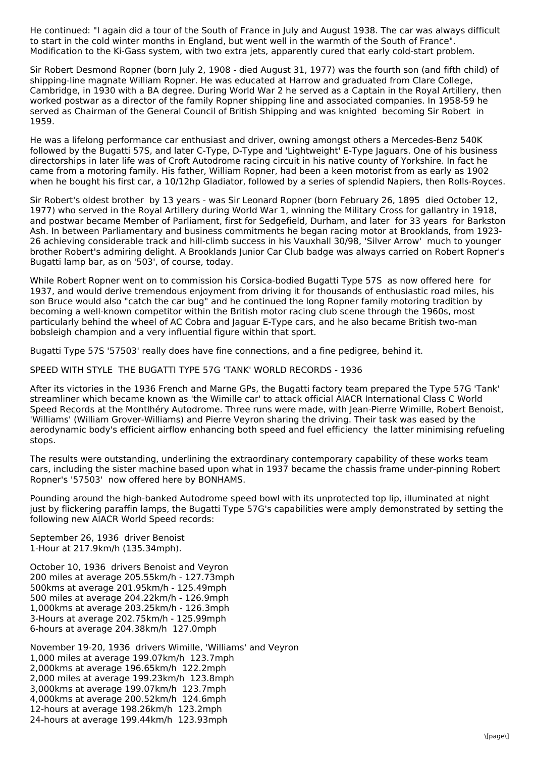He continued: "I again did a tour of the South of France in July and August 1938. The car was always difficult to start in the cold winter months in England, but went well in the warmth of the South of France". Modification to the Ki-Gass system, with two extra jets, apparently cured that early cold-start problem.

Sir Robert Desmond Ropner (born July 2, 1908 - died August 31, 1977) was the fourth son (and fifth child) of shipping-line magnate William Ropner. He was educated at Harrow and graduated from Clare College, Cambridge, in 1930 with a BA degree. During World War 2 he served as a Captain in the Royal Artillery, then worked postwar as a director of the family Ropner shipping line and associated companies. In 1958-59 he served as Chairman of the General Council of British Shipping and was knighted becoming Sir Robert in 1959.

He was a lifelong performance car enthusiast and driver, owning amongst others a Mercedes-Benz 540K followed by the Bugatti 57S, and later C-Type, D-Type and 'Lightweight' E-Type Jaguars. One of his business directorships in later life was of Croft Autodrome racing circuit in his native county of Yorkshire. In fact he came from a motoring family. His father, William Ropner, had been a keen motorist from as early as 1902 when he bought his first car, a 10/12hp Gladiator, followed by a series of splendid Napiers, then Rolls-Royces.

Sir Robert's oldest brother by 13 years - was Sir Leonard Ropner (born February 26, 1895 died October 12, 1977) who served in the Royal Artillery during World War 1, winning the Military Cross for gallantry in 1918, and postwar became Member of Parliament, first for Sedgefield, Durham, and later for 33 years for Barkston Ash. In between Parliamentary and business commitments he began racing motor at Brooklands, from 1923- 26 achieving considerable track and hill-climb success in his Vauxhall 30/98, 'Silver Arrow' much to younger brother Robert's admiring delight. A Brooklands Junior Car Club badge was always carried on Robert Ropner's Bugatti lamp bar, as on '503', of course, today.

While Robert Ropner went on to commission his Corsica-bodied Bugatti Type 57S as now offered here for 1937, and would derive tremendous enjoyment from driving it for thousands of enthusiastic road miles, his son Bruce would also "catch the car bug" and he continued the long Ropner family motoring tradition by becoming a well-known competitor within the British motor racing club scene through the 1960s, most particularly behind the wheel of AC Cobra and Jaguar E-Type cars, and he also became British two-man bobsleigh champion and a very influential figure within that sport.

Bugatti Type 57S '57503' really does have fine connections, and a fine pedigree, behind it.

SPEED WITH STYLE THE BUGATTI TYPE 57G 'TANK' WORLD RECORDS - 1936

After its victories in the 1936 French and Marne GPs, the Bugatti factory team prepared the Type 57G 'Tank' streamliner which became known as 'the Wimille car' to attack official AIACR International Class C World Speed Records at the Montlhéry Autodrome. Three runs were made, with Jean-Pierre Wimille, Robert Benoist, 'Williams' (William Grover-Williams) and Pierre Veyron sharing the driving. Their task was eased by the aerodynamic body's efficient airflow enhancing both speed and fuel efficiency the latter minimising refueling stops.

The results were outstanding, underlining the extraordinary contemporary capability of these works team cars, including the sister machine based upon what in 1937 became the chassis frame under-pinning Robert Ropner's '57503' now offered here by BONHAMS.

Pounding around the high-banked Autodrome speed bowl with its unprotected top lip, illuminated at night just by flickering paraffin lamps, the Bugatti Type 57G's capabilities were amply demonstrated by setting the following new AIACR World Speed records:

September 26, 1936 driver Benoist 1-Hour at 217.9km/h (135.34mph).

October 10, 1936 drivers Benoist and Veyron 200 miles at average 205.55km/h - 127.73mph 500kms at average 201.95km/h - 125.49mph 500 miles at average 204.22km/h - 126.9mph 1,000kms at average 203.25km/h - 126.3mph 3-Hours at average 202.75km/h - 125.99mph 6-hours at average 204.38km/h 127.0mph

November 19-20, 1936 drivers Wimille, 'Williams' and Veyron 1,000 miles at average 199.07km/h 123.7mph 2,000kms at average 196.65km/h 122.2mph 2,000 miles at average 199.23km/h 123.8mph 3,000kms at average 199.07km/h 123.7mph 4,000kms at average 200.52km/h 124.6mph 12-hours at average 198.26km/h 123.2mph 24-hours at average 199.44km/h 123.93mph